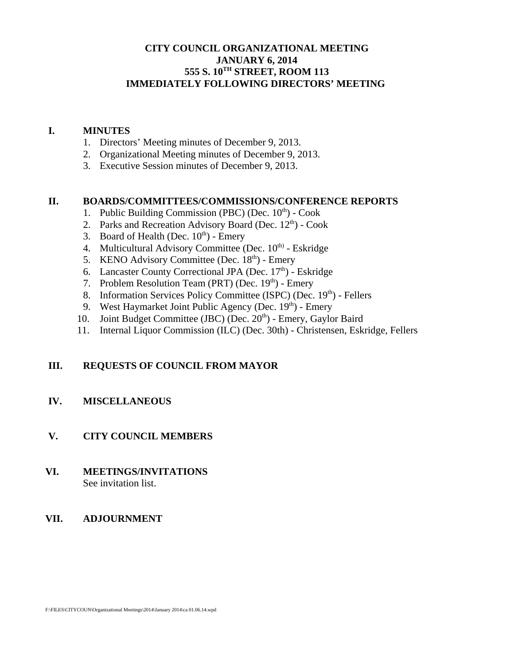### **CITY COUNCIL ORGANIZATIONAL MEETING JANUARY 6, 2014 555 S. 10TH STREET, ROOM 113 IMMEDIATELY FOLLOWING DIRECTORS' MEETING**

#### **I. MINUTES**

- 1. Directors' Meeting minutes of December 9, 2013.
- 2. Organizational Meeting minutes of December 9, 2013.
- 3. Executive Session minutes of December 9, 2013.

#### **II. BOARDS/COMMITTEES/COMMISSIONS/CONFERENCE REPORTS**

- 1. Public Building Commission (PBC) (Dec.  $10<sup>th</sup>$ ) Cook
- 2. Parks and Recreation Advisory Board (Dec.  $12<sup>th</sup>$ ) Cook
- 3. Board of Health (Dec.  $10^{th}$ ) Emery
- 4. Multicultural Advisory Committee (Dec. 10<sup>th)</sup> Eskridge
- 5. KENO Advisory Committee (Dec.  $18<sup>th</sup>$ ) Emery
- 6. Lancaster County Correctional JPA (Dec.  $17<sup>th</sup>$ ) Eskridge
- 7. Problem Resolution Team (PRT) (Dec.  $19<sup>th</sup>$ ) Emery
- 8. Information Services Policy Committee (ISPC) (Dec.  $19<sup>th</sup>$ ) Fellers
- 9. West Haymarket Joint Public Agency (Dec.  $19<sup>th</sup>$ ) Emery
- 10. Joint Budget Committee (JBC) (Dec.  $20<sup>th</sup>$ ) Emery, Gaylor Baird
- 11. Internal Liquor Commission (ILC) (Dec. 30th) Christensen, Eskridge, Fellers

#### **III. REQUESTS OF COUNCIL FROM MAYOR**

#### **IV. MISCELLANEOUS**

### **V. CITY COUNCIL MEMBERS**

#### **VI. MEETINGS/INVITATIONS** See invitation list.

#### **VII. ADJOURNMENT**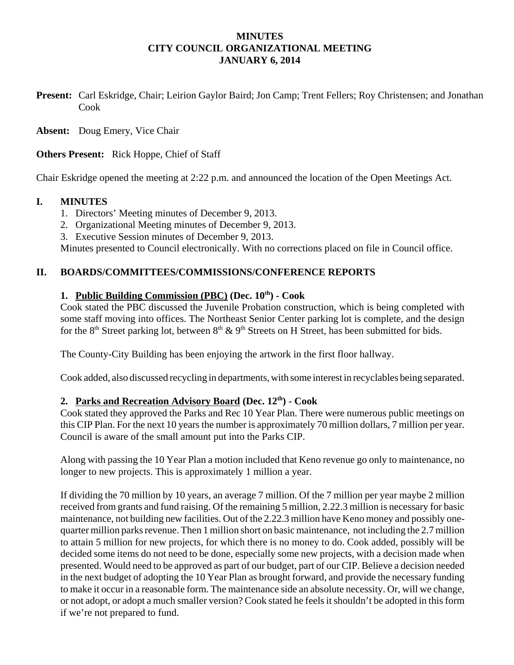### **MINUTES CITY COUNCIL ORGANIZATIONAL MEETING JANUARY 6, 2014**

**Present:** Carl Eskridge, Chair; Leirion Gaylor Baird; Jon Camp; Trent Fellers; Roy Christensen; and Jonathan Cook

**Absent:** Doug Emery, Vice Chair

**Others Present:** Rick Hoppe, Chief of Staff

Chair Eskridge opened the meeting at 2:22 p.m. and announced the location of the Open Meetings Act.

### **I. MINUTES**

- 1. Directors' Meeting minutes of December 9, 2013.
- 2. Organizational Meeting minutes of December 9, 2013.
- 3. Executive Session minutes of December 9, 2013.

Minutes presented to Council electronically. With no corrections placed on file in Council office.

### **II. BOARDS/COMMITTEES/COMMISSIONS/CONFERENCE REPORTS**

## 1. Public Building Commission (PBC) (Dec.  $10^{th}$ ) - Cook

Cook stated the PBC discussed the Juvenile Probation construction, which is being completed with some staff moving into offices. The Northeast Senior Center parking lot is complete, and the design for the 8<sup>th</sup> Street parking lot, between 8<sup>th</sup> & 9<sup>th</sup> Streets on H Street, has been submitted for bids.

The County-City Building has been enjoying the artwork in the first floor hallway.

Cook added, also discussed recycling in departments, with some interest in recyclables being separated.

#### **2. Parks and Recreation Advisory Board (Dec. 12th) - Cook**

Cook stated they approved the Parks and Rec 10 Year Plan. There were numerous public meetings on this CIP Plan. For the next 10 years the number is approximately 70 million dollars, 7 million per year. Council is aware of the small amount put into the Parks CIP.

Along with passing the 10 Year Plan a motion included that Keno revenue go only to maintenance, no longer to new projects. This is approximately 1 million a year.

If dividing the 70 million by 10 years, an average 7 million. Of the 7 million per year maybe 2 million received from grants and fund raising. Of the remaining 5 million, 2.22.3 million is necessary for basic maintenance, not building new facilities. Out of the 2.22.3 million have Keno money and possibly onequarter million parks revenue. Then 1 million short on basic maintenance, not including the 2.7 million to attain 5 million for new projects, for which there is no money to do. Cook added, possibly will be decided some items do not need to be done, especially some new projects, with a decision made when presented. Would need to be approved as part of our budget, part of our CIP. Believe a decision needed in the next budget of adopting the 10 Year Plan as brought forward, and provide the necessary funding to make it occur in a reasonable form. The maintenance side an absolute necessity. Or, will we change, or not adopt, or adopt a much smaller version? Cook stated he feels it shouldn't be adopted in this form if we're not prepared to fund.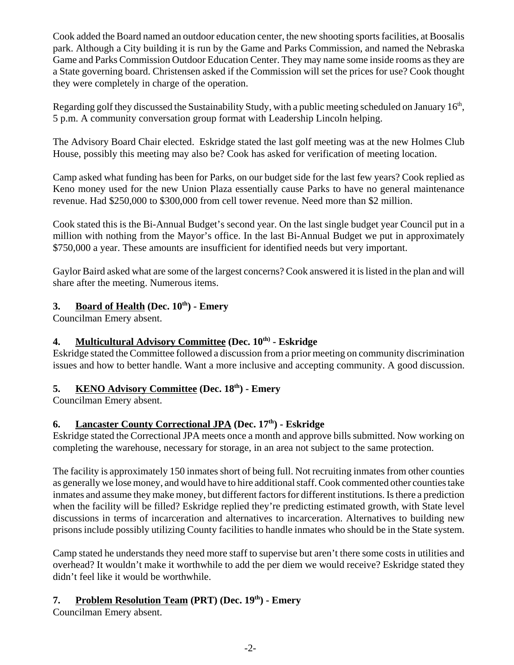Cook added the Board named an outdoor education center, the new shooting sports facilities, at Boosalis park. Although a City building it is run by the Game and Parks Commission, and named the Nebraska Game and Parks Commission Outdoor Education Center. They may name some inside rooms as they are a State governing board. Christensen asked if the Commission will set the prices for use? Cook thought they were completely in charge of the operation.

Regarding golf they discussed the Sustainability Study, with a public meeting scheduled on January  $16<sup>th</sup>$ , 5 p.m. A community conversation group format with Leadership Lincoln helping.

The Advisory Board Chair elected. Eskridge stated the last golf meeting was at the new Holmes Club House, possibly this meeting may also be? Cook has asked for verification of meeting location.

Camp asked what funding has been for Parks, on our budget side for the last few years? Cook replied as Keno money used for the new Union Plaza essentially cause Parks to have no general maintenance revenue. Had \$250,000 to \$300,000 from cell tower revenue. Need more than \$2 million.

Cook stated this is the Bi-Annual Budget's second year. On the last single budget year Council put in a million with nothing from the Mayor's office. In the last Bi-Annual Budget we put in approximately \$750,000 a year. These amounts are insufficient for identified needs but very important.

Gaylor Baird asked what are some of the largest concerns? Cook answered it is listed in the plan and will share after the meeting. Numerous items.

# **3.** Board of Health (Dec.  $10^{th}$ ) - Emery

Councilman Emery absent.

# **4. Multicultural Advisory Committee (Dec. 10<sup>th)</sup> - Eskridge**

Eskridge stated the Committee followed a discussion from a prior meeting on community discrimination issues and how to better handle. Want a more inclusive and accepting community. A good discussion.

# **5. KENO Advisory Committee (Dec. 18th) - Emery**

Councilman Emery absent.

# **6.** Lancaster County Correctional JPA (Dec. 17<sup>th</sup>) - Eskridge

Eskridge stated the Correctional JPA meets once a month and approve bills submitted. Now working on completing the warehouse, necessary for storage, in an area not subject to the same protection.

The facility is approximately 150 inmates short of being full. Not recruiting inmates from other counties as generally we lose money, and would have to hire additional staff. Cook commented other counties take inmates and assume they make money, but different factors for different institutions. Is there a prediction when the facility will be filled? Eskridge replied they're predicting estimated growth, with State level discussions in terms of incarceration and alternatives to incarceration. Alternatives to building new prisons include possibly utilizing County facilities to handle inmates who should be in the State system.

Camp stated he understands they need more staff to supervise but aren't there some costs in utilities and overhead? It wouldn't make it worthwhile to add the per diem we would receive? Eskridge stated they didn't feel like it would be worthwhile.

# 7. Problem Resolution Team (PRT) (Dec. 19<sup>th</sup>) - Emery

Councilman Emery absent.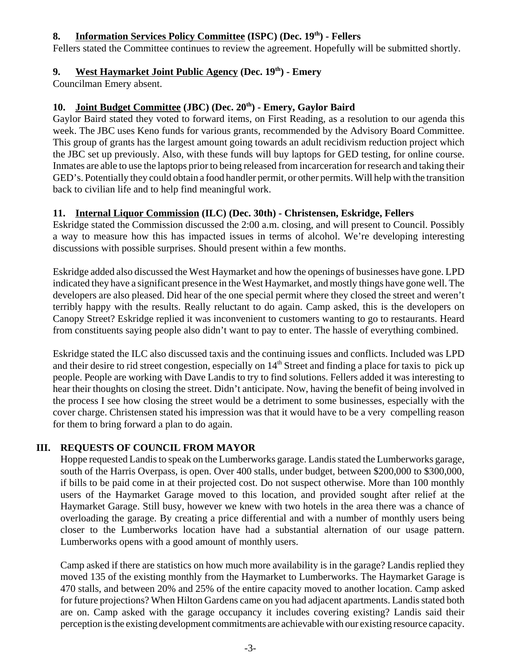## 8. Information Services Policy Committee (ISPC) (Dec. 19<sup>th</sup>) - Fellers

Fellers stated the Committee continues to review the agreement. Hopefully will be submitted shortly.

## **9. West Haymarket Joint Public Agency (Dec. 19th) - Emery**

Councilman Emery absent.

## 10. Joint Budget Committee (JBC) (Dec. 20<sup>th</sup>) - Emery, Gaylor Baird

Gaylor Baird stated they voted to forward items, on First Reading, as a resolution to our agenda this week. The JBC uses Keno funds for various grants, recommended by the Advisory Board Committee. This group of grants has the largest amount going towards an adult recidivism reduction project which the JBC set up previously. Also, with these funds will buy laptops for GED testing, for online course. Inmates are able to use the laptops prior to being released from incarceration for research and taking their GED's. Potentially they could obtain a food handler permit, or other permits. Will help with the transition back to civilian life and to help find meaningful work.

## **11. Internal Liquor Commission (ILC) (Dec. 30th) - Christensen, Eskridge, Fellers**

Eskridge stated the Commission discussed the 2:00 a.m. closing, and will present to Council. Possibly a way to measure how this has impacted issues in terms of alcohol. We're developing interesting discussions with possible surprises. Should present within a few months.

Eskridge added also discussed the West Haymarket and how the openings of businesses have gone. LPD indicated they have a significant presence in the West Haymarket, and mostly things have gone well. The developers are also pleased. Did hear of the one special permit where they closed the street and weren't terribly happy with the results. Really reluctant to do again. Camp asked, this is the developers on Canopy Street? Eskridge replied it was inconvenient to customers wanting to go to restaurants. Heard from constituents saying people also didn't want to pay to enter. The hassle of everything combined.

Eskridge stated the ILC also discussed taxis and the continuing issues and conflicts. Included was LPD and their desire to rid street congestion, especially on 14<sup>th</sup> Street and finding a place for taxis to pick up people. People are working with Dave Landis to try to find solutions. Fellers added it was interesting to hear their thoughts on closing the street. Didn't anticipate. Now, having the benefit of being involved in the process I see how closing the street would be a detriment to some businesses, especially with the cover charge. Christensen stated his impression was that it would have to be a very compelling reason for them to bring forward a plan to do again.

## **III. REQUESTS OF COUNCIL FROM MAYOR**

Hoppe requested Landis to speak on the Lumberworks garage. Landis stated the Lumberworks garage, south of the Harris Overpass, is open. Over 400 stalls, under budget, between \$200,000 to \$300,000, if bills to be paid come in at their projected cost. Do not suspect otherwise. More than 100 monthly users of the Haymarket Garage moved to this location, and provided sought after relief at the Haymarket Garage. Still busy, however we knew with two hotels in the area there was a chance of overloading the garage. By creating a price differential and with a number of monthly users being closer to the Lumberworks location have had a substantial alternation of our usage pattern. Lumberworks opens with a good amount of monthly users.

Camp asked if there are statistics on how much more availability is in the garage? Landis replied they moved 135 of the existing monthly from the Haymarket to Lumberworks. The Haymarket Garage is 470 stalls, and between 20% and 25% of the entire capacity moved to another location. Camp asked for future projections? When Hilton Gardens came on you had adjacent apartments. Landis stated both are on. Camp asked with the garage occupancy it includes covering existing? Landis said their perception is the existing development commitments are achievable with our existing resource capacity.